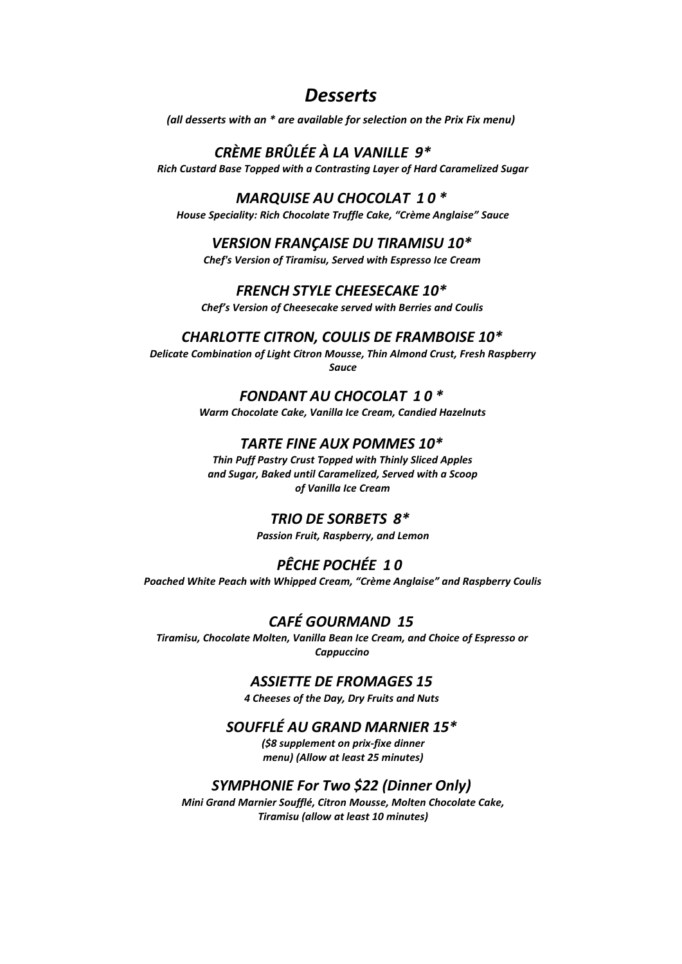# *Desserts*

*(all desserts with an \* are available for selection on the Prix Fix menu)*

# *CRÈME BRÛLÉE À LA VANILLE 9\**

*Rich Custard Base Topped with a Contrasting Layer of Hard Caramelized Sugar*

## *MARQUISE AU CHOCOLAT 1 0 \**

*House Speciality: Rich Chocolate Truffle Cake, "Crème Anglaise" Sauce*

#### *VERSION FRANÇAISE DU TIRAMISU 10\**

*Chef's* Version of Tiramisu, Served with *Espresso* Ice Cream

#### *FRENCH STYLE CHEESECAKE 10\**

*Chef's Version of Cheesecake served with Berries and Coulis*

#### *CHARLOTTE CITRON, COULIS DE FRAMBOISE 10\**

*Delicate Combination of Light Citron Mousse, Thin Almond Crust, Fresh Raspberry Sauce*

## *FONDANT AU CHOCOLAT 1 0 \**

*Warm Chocolate Cake, Vanilla Ice Cream, Candied Hazelnuts*

#### *TARTE FINE AUX POMMES 10\**

*Thin Puff Pastry CrustTopped with Thinly Sliced Apples and Sugar, Baked until Caramelized, Served with a Scoop of Vanilla Ice Cream*

## *TRIO DE SORBETS 8\**

*Passion Fruit, Raspberry, and Lemon*

# *PÊCHE POCHÉE 1 0*

*Poached White Peach with Whipped Cream, "Crème Anglaise" and Raspberry Coulis*

# *CAFÉ GOURMAND 15*

*Tiramisu, Chocolate Molten, Vanilla Bean Ice Cream, and Choice of Espresso or Cappuccino*

#### *ASSIETTE DE FROMAGES 15*

*4 Cheeses of the Day, Dry Fruits and Nuts*

## *SOUFFLÉ AU GRAND MARNIER 15\**

*(\$8 supplement on prix-fixe dinner menu) (Allow at least 25 minutes)*

## *SYMPHONIE For Two \$22 (Dinner Only)*

*Mini Grand Marnier Soufflé, Citron Mousse, Molten Chocolate Cake, Tiramisu (allow at least 10 minutes)*